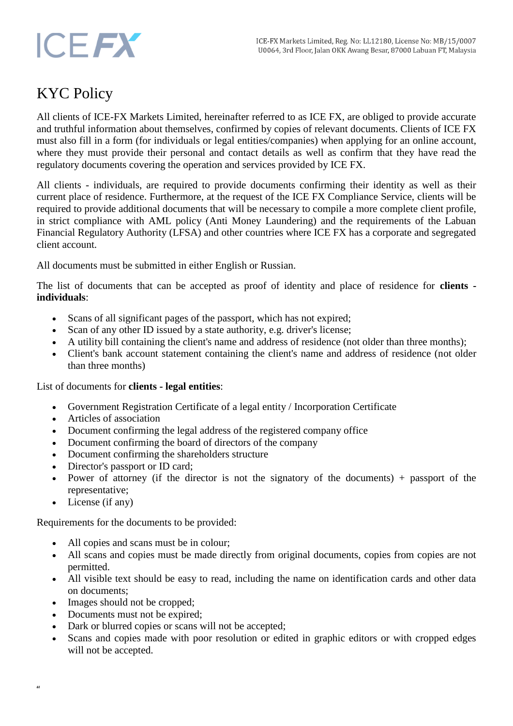## **ICEFX**

## KYC Policy

All clients of ICE-FX Markets Limited, hereinafter referred to as ICE FX, are obliged to provide accurate and truthful information about themselves, confirmed by copies of relevant documents. Clients of ICE FX must also fill in a form (for individuals or legal entities/companies) when applying for an online account, where they must provide their personal and contact details as well as confirm that they have read the regulatory documents covering the operation and services provided by ICE FX.

All clients - individuals, are required to provide documents confirming their identity as well as their current place of residence. Furthermore, at the request of the ICE FX Compliance Service, clients will be required to provide additional documents that will be necessary to compile a more complete client profile, in strict compliance with AML policy (Anti Money Laundering) and the requirements of the Labuan Financial Regulatory Authority (LFSA) and other countries where ICE FX has a corporate and segregated client account.

All documents must be submitted in either English or Russian.

The list of documents that can be accepted as proof of identity and place of residence for **clients individuals**:

- Scans of all significant pages of the passport, which has not expired;
- Scan of any other ID issued by a state authority, e.g. driver's license;
- A utility bill containing the client's name and address of residence (not older than three months);
- Client's bank account statement containing the client's name and address of residence (not older than three months)

List of documents for **clients - legal entities**:

- Government Registration Certificate of a legal entity / Incorporation Certificate
- Articles of association
- Document confirming the legal address of the registered company office
- Document confirming the board of directors of the company
- Document confirming the shareholders structure
- Director's passport or ID card;
- Power of attorney (if the director is not the signatory of the documents) + passport of the representative;
- License (if any)

Requirements for the documents to be provided:

- All copies and scans must be in colour;
- All scans and copies must be made directly from original documents, copies from copies are not permitted.
- All visible text should be easy to read, including the name on identification cards and other data on documents;
- Images should not be cropped;
- Documents must not be expired;
- Dark or blurred copies or scans will not be accepted;
- Scans and copies made with poor resolution or edited in graphic editors or with cropped edges will not be accepted.